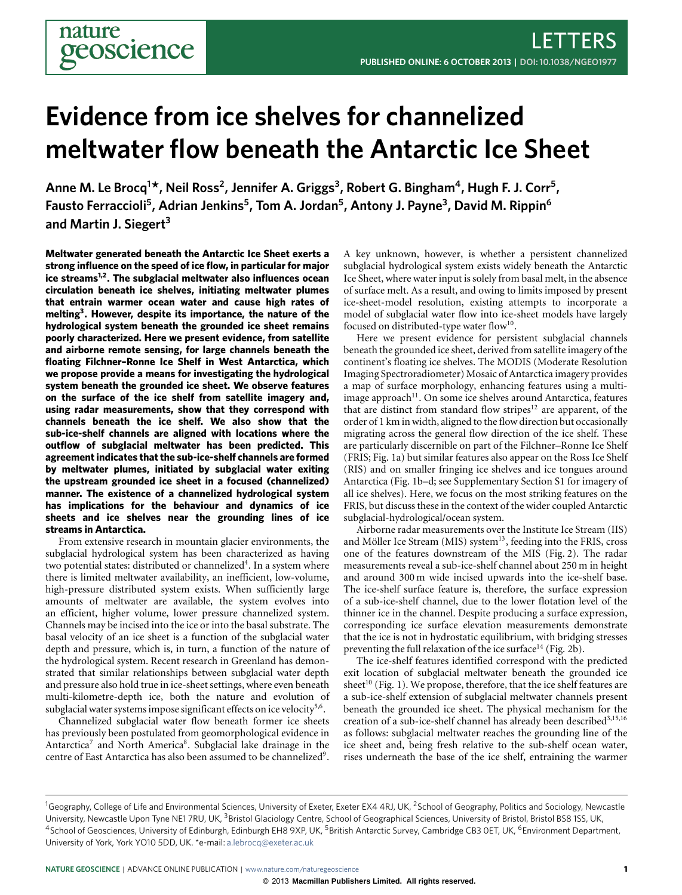# **Evidence from ice shelves for channelized meltwater flow beneath the Antarctic Ice Sheet**

**Anne M. Le Brocq<sup>1</sup> \*, Neil Ross<sup>2</sup> , Jennifer A. Griggs<sup>3</sup> , Robert G. Bingham<sup>4</sup> , Hugh F. J. Corr<sup>5</sup> , Fausto Ferraccioli<sup>5</sup> , Adrian Jenkins<sup>5</sup> , Tom A. Jordan<sup>5</sup> , Antony J. Payne<sup>3</sup> , David M. Rippin<sup>6</sup> and Martin J. Siegert<sup>3</sup>**

**Meltwater generated beneath the Antarctic Ice Sheet exerts a strong influence on the speed of ice flow, in particular for major ice streams[1,](#page-2-0)[2](#page-3-0). The subglacial meltwater also influences ocean circulation beneath ice shelves, initiating meltwater plumes that entrain warmer ocean water and cause high rates of melting[3](#page-3-1) . However, despite its importance, the nature of the hydrological system beneath the grounded ice sheet remains poorly characterized. Here we present evidence, from satellite and airborne remote sensing, for large channels beneath the floating Filchner–Ronne Ice Shelf in West Antarctica, which we propose provide a means for investigating the hydrological system beneath the grounded ice sheet. We observe features on the surface of the ice shelf from satellite imagery and, using radar measurements, show that they correspond with channels beneath the ice shelf. We also show that the sub-ice-shelf channels are aligned with locations where the outflow of subglacial meltwater has been predicted. This agreement indicates that the sub-ice-shelf channels are formed by meltwater plumes, initiated by subglacial water exiting the upstream grounded ice sheet in a focused (channelized) manner. The existence of a channelized hydrological system has implications for the behaviour and dynamics of ice sheets and ice shelves near the grounding lines of ice streams in Antarctica.**

From extensive research in mountain glacier environments, the subglacial hydrological system has been characterized as having two potential states: distributed or channelized<sup>[4](#page-3-2)</sup>. In a system where there is limited meltwater availability, an inefficient, low-volume, high-pressure distributed system exists. When sufficiently large amounts of meltwater are available, the system evolves into an efficient, higher volume, lower pressure channelized system. Channels may be incised into the ice or into the basal substrate. The basal velocity of an ice sheet is a function of the subglacial water depth and pressure, which is, in turn, a function of the nature of the hydrological system. Recent research in Greenland has demonstrated that similar relationships between subglacial water depth and pressure also hold true in ice-sheet settings, where even beneath multi-kilometre-depth ice, both the nature and evolution of subglacial water systems impose significant effects on ice velocity $5,6$  $5,6$ .

Channelized subglacial water flow beneath former ice sheets has previously been postulated from geomorphological evidence in Antarctica<sup>[7](#page-3-5)</sup> and North America<sup>[8](#page-3-6)</sup>. Subglacial lake drainage in the centre of East Antarctica has also been assumed to be channelized<sup>[9](#page-3-7)</sup>.

A key unknown, however, is whether a persistent channelized subglacial hydrological system exists widely beneath the Antarctic Ice Sheet, where water input is solely from basal melt, in the absence of surface melt. As a result, and owing to limits imposed by present ice-sheet-model resolution, existing attempts to incorporate a model of subglacial water flow into ice-sheet models have largely focused on distributed-type water flow<sup>[10](#page-3-8)</sup>.

Here we present evidence for persistent subglacial channels beneath the grounded ice sheet, derived from satellite imagery of the continent's floating ice shelves. The MODIS (Moderate Resolution Imaging Spectroradiometer) Mosaic of Antarctica imagery provides a map of surface morphology, enhancing features using a multi-image approach<sup>[11](#page-3-9)</sup>. On some ice shelves around Antarctica, features that are distinct from standard flow stripes $12$  are apparent, of the order of 1 km in width, aligned to the flow direction but occasionally migrating across the general flow direction of the ice shelf. These are particularly discernible on part of the Filchner–Ronne Ice Shelf (FRIS; [Fig. 1a](#page-1-0)) but similar features also appear on the Ross Ice Shelf (RIS) and on smaller fringing ice shelves and ice tongues around Antarctica [\(Fig. 1b](#page-1-0)–d; see Supplementary Section S1 for imagery of all ice shelves). Here, we focus on the most striking features on the FRIS, but discuss these in the context of the wider coupled Antarctic subglacial-hydrological/ocean system.

Airborne radar measurements over the Institute Ice Stream (IIS) and Möller Ice Stream (MIS) system<sup>[13](#page-3-11)</sup>, feeding into the FRIS, cross one of the features downstream of the MIS [\(Fig. 2\)](#page-1-1). The radar measurements reveal a sub-ice-shelf channel about 250 m in height and around 300 m wide incised upwards into the ice-shelf base. The ice-shelf surface feature is, therefore, the surface expression of a sub-ice-shelf channel, due to the lower flotation level of the thinner ice in the channel. Despite producing a surface expression, corresponding ice surface elevation measurements demonstrate that the ice is not in hydrostatic equilibrium, with bridging stresses preventing the full relaxation of the ice surface<sup>[14](#page-3-12)</sup> [\(Fig. 2b](#page-1-1)).

The ice-shelf features identified correspond with the predicted exit location of subglacial meltwater beneath the grounded ice sheet<sup>[10](#page-3-8)</sup> [\(Fig. 1\)](#page-1-0). We propose, therefore, that the ice shelf features are a sub-ice-shelf extension of subglacial meltwater channels present beneath the grounded ice sheet. The physical mechanism for the creation of a sub-ice-shelf channel has already been described<sup>[3](#page-3-1)[,15,](#page-3-13)[16](#page-3-14)</sup> as follows: subglacial meltwater reaches the grounding line of the ice sheet and, being fresh relative to the sub-shelf ocean water, rises underneath the base of the ice shelf, entraining the warmer

<sup>&</sup>lt;sup>1</sup>Geography, College of Life and Environmental Sciences, University of Exeter, Exeter EX4 4RJ, UK, <sup>2</sup>School of Geography, Politics and Sociology, Newcastle University, Newcastle Upon Tyne NE1 7RU, UK, <sup>3</sup>Bristol Glaciology Centre, School of Geographical Sciences, University of Bristol, Bristol BS8 1SS, UK, 4School of Geosciences, University of Edinburgh, Edinburgh EH8 9XP, UK, <sup>5</sup>British Antarctic Survey, Cambridge CB3 0ET, UK, <sup>6</sup>Environment Department, University of York, York YO10 5DD, UK. \*e-mail: [a.lebrocq@exeter.ac.uk](mailto:a.lebrocq@exeter.ac.uk)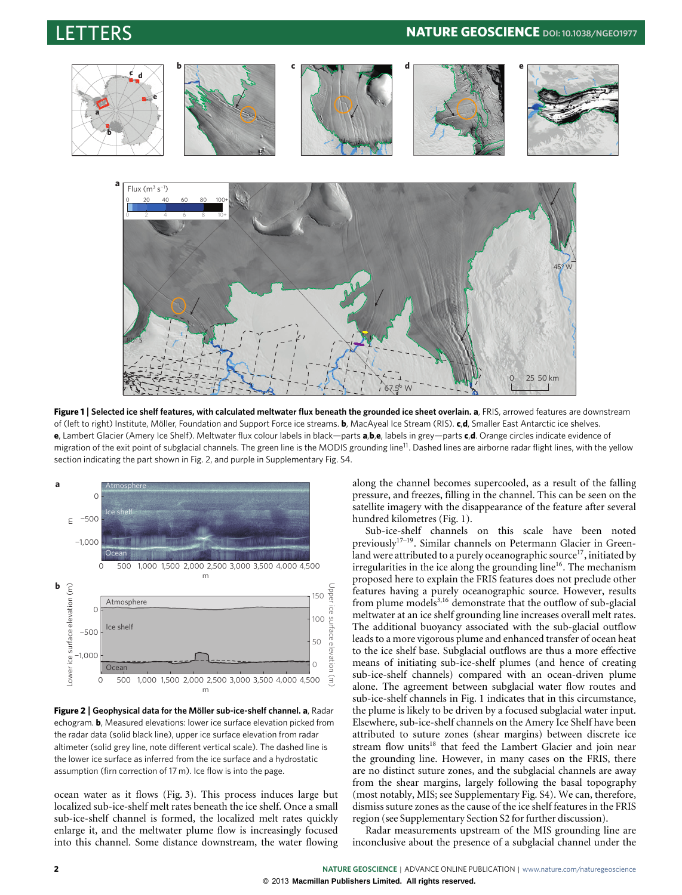

<span id="page-1-0"></span>**Figure 1** | **Selected ice shelf features, with calculated meltwater flux beneath the grounded ice sheet overlain. a**, FRIS, arrowed features are downstream of (left to right) Institute, Möller, Foundation and Support Force ice streams. **b**, MacAyeal Ice Stream (RIS). **c**,**d**, Smaller East Antarctic ice shelves. **e**, Lambert Glacier (Amery Ice Shelf). Meltwater flux colour labels in black—parts **a**,**b**,**e**, labels in grey—parts **c**,**d**. Orange circles indicate evidence of migration of the exit point of subglacial channels. The green line is the MODIS grounding line<sup>[11](#page-3-9)</sup>. Dashed lines are airborne radar flight lines, with the yellow section indicating the part shown in Fig. 2, and purple in Supplementary Fig. S4.



<span id="page-1-1"></span>**Figure 2** | **Geophysical data for the Möller sub-ice-shelf channel. a**, Radar echogram. **b**, Measured elevations: lower ice surface elevation picked from the radar data (solid black line), upper ice surface elevation from radar altimeter (solid grey line, note different vertical scale). The dashed line is the lower ice surface as inferred from the ice surface and a hydrostatic assumption (firn correction of 17 m). Ice flow is into the page.

ocean water as it flows [\(Fig. 3\)](#page-2-1). This process induces large but localized sub-ice-shelf melt rates beneath the ice shelf. Once a small sub-ice-shelf channel is formed, the localized melt rates quickly enlarge it, and the meltwater plume flow is increasingly focused into this channel. Some distance downstream, the water flowing along the channel becomes supercooled, as a result of the falling pressure, and freezes, filling in the channel. This can be seen on the satellite imagery with the disappearance of the feature after several hundred kilometres [\(Fig. 1\)](#page-1-0).

Sub-ice-shelf channels on this scale have been noted previously<sup>[17](#page-3-15)-19</sup>. Similar channels on Petermann Glacier in Green-land were attributed to a purely oceanographic source<sup>[17](#page-3-15)</sup>, initiated by irregularities in the ice along the grounding line<sup>[16](#page-3-14)</sup>. The mechanism proposed here to explain the FRIS features does not preclude other features having a purely oceanographic source. However, results from plume models<sup>[3,](#page-3-1)[16](#page-3-14)</sup> demonstrate that the outflow of sub-glacial meltwater at an ice shelf grounding line increases overall melt rates. The additional buoyancy associated with the sub-glacial outflow leads to a more vigorous plume and enhanced transfer of ocean heat to the ice shelf base. Subglacial outflows are thus a more effective means of initiating sub-ice-shelf plumes (and hence of creating sub-ice-shelf channels) compared with an ocean-driven plume alone. The agreement between subglacial water flow routes and sub-ice-shelf channels in [Fig. 1](#page-1-0) indicates that in this circumstance, the plume is likely to be driven by a focused subglacial water input. Elsewhere, sub-ice-shelf channels on the Amery Ice Shelf have been attributed to suture zones (shear margins) between discrete ice stream flow units<sup>[18](#page-3-17)</sup> that feed the Lambert Glacier and join near the grounding line. However, in many cases on the FRIS, there are no distinct suture zones, and the subglacial channels are away from the shear margins, largely following the basal topography (most notably, MIS; see Supplementary Fig. S4). We can, therefore, dismiss suture zones as the cause of the ice shelf features in the FRIS region (see Supplementary Section S2 for further discussion).

Radar measurements upstream of the MIS grounding line are inconclusive about the presence of a subglacial channel under the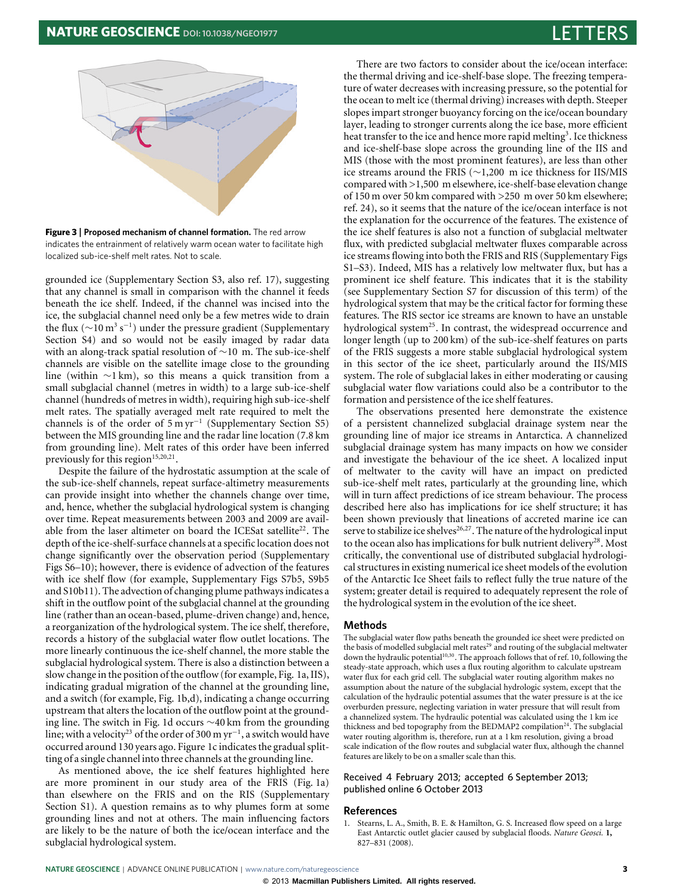

<span id="page-2-1"></span>**Figure 3** | **Proposed mechanism of channel formation.** The red arrow indicates the entrainment of relatively warm ocean water to facilitate high localized sub-ice-shelf melt rates. Not to scale.

grounded ice (Supplementary Section S3, also ref. [17\)](#page-3-15), suggesting that any channel is small in comparison with the channel it feeds beneath the ice shelf. Indeed, if the channel was incised into the ice, the subglacial channel need only be a few metres wide to drain the flux ( $\sim$ 10 m<sup>3</sup> s<sup>-1</sup>) under the pressure gradient (Supplementary Section S4) and so would not be easily imaged by radar data with an along-track spatial resolution of ∼10 m. The sub-ice-shelf channels are visible on the satellite image close to the grounding line (within ∼1 km), so this means a quick transition from a small subglacial channel (metres in width) to a large sub-ice-shelf channel (hundreds of metres in width), requiring high sub-ice-shelf melt rates. The spatially averaged melt rate required to melt the channels is of the order of 5 m yr<sup>−</sup><sup>1</sup> (Supplementary Section S5) between the MIS grounding line and the radar line location (7.8 km from grounding line). Melt rates of this order have been inferred previously for this region<sup>[15](#page-3-13)[,20,](#page-3-18)[21](#page-3-19)</sup>.

Despite the failure of the hydrostatic assumption at the scale of the sub-ice-shelf channels, repeat surface-altimetry measurements can provide insight into whether the channels change over time, and, hence, whether the subglacial hydrological system is changing over time. Repeat measurements between 2003 and 2009 are avail-able from the laser altimeter on board the ICESat satellite<sup>[22](#page-3-20)</sup>. The depth of the ice-shelf-surface channels at a specific location does not change significantly over the observation period (Supplementary Figs S6–10); however, there is evidence of advection of the features with ice shelf flow (for example, Supplementary Figs S7b5, S9b5 and S10b11). The advection of changing plume pathways indicates a shift in the outflow point of the subglacial channel at the grounding line (rather than an ocean-based, plume-driven change) and, hence, a reorganization of the hydrological system. The ice shelf, therefore, records a history of the subglacial water flow outlet locations. The more linearly continuous the ice-shelf channel, the more stable the subglacial hydrological system. There is also a distinction between a slow change in the position of the outflow (for example, [Fig. 1a](#page-1-0), IIS), indicating gradual migration of the channel at the grounding line, and a switch (for example, [Fig. 1b](#page-1-0),d), indicating a change occurring upstream that alters the location of the outflow point at the grounding line. The switch in [Fig. 1d](#page-1-0) occurs ∼40 km from the grounding line; with a velocity<sup>[23](#page-3-21)</sup> of the order of 300 m yr<sup>-1</sup>, a switch would have occurred around 130 years ago. [Figure 1c](#page-1-0) indicates the gradual splitting of a single channel into three channels at the grounding line.

As mentioned above, the ice shelf features highlighted here are more prominent in our study area of the FRIS [\(Fig. 1a](#page-1-0)) than elsewhere on the FRIS and on the RIS (Supplementary Section S1). A question remains as to why plumes form at some grounding lines and not at others. The main influencing factors are likely to be the nature of both the ice/ocean interface and the subglacial hydrological system.

There are two factors to consider about the ice/ocean interface: the thermal driving and ice-shelf-base slope. The freezing temperature of water decreases with increasing pressure, so the potential for the ocean to melt ice (thermal driving) increases with depth. Steeper slopes impart stronger buoyancy forcing on the ice/ocean boundary layer, leading to stronger currents along the ice base, more efficient heat transfer to the ice and hence more rapid melting<sup>[3](#page-3-1)</sup>. Ice thickness and ice-shelf-base slope across the grounding line of the IIS and MIS (those with the most prominent features), are less than other ice streams around the FRIS (∼1,200 m ice thickness for IIS/MIS compared with >1,500 m elsewhere, ice-shelf-base elevation change of 150 m over 50 km compared with >250 m over 50 km elsewhere; ref. [24\)](#page-3-22), so it seems that the nature of the ice/ocean interface is not the explanation for the occurrence of the features. The existence of the ice shelf features is also not a function of subglacial meltwater flux, with predicted subglacial meltwater fluxes comparable across ice streams flowing into both the FRIS and RIS (Supplementary Figs S1–S3). Indeed, MIS has a relatively low meltwater flux, but has a prominent ice shelf feature. This indicates that it is the stability (see Supplementary Section S7 for discussion of this term) of the hydrological system that may be the critical factor for forming these features. The RIS sector ice streams are known to have an unstable hydrological system<sup>[25](#page-3-23)</sup>. In contrast, the widespread occurrence and longer length (up to 200 km) of the sub-ice-shelf features on parts of the FRIS suggests a more stable subglacial hydrological system in this sector of the ice sheet, particularly around the IIS/MIS system. The role of subglacial lakes in either moderating or causing subglacial water flow variations could also be a contributor to the formation and persistence of the ice shelf features.

The observations presented here demonstrate the existence of a persistent channelized subglacial drainage system near the grounding line of major ice streams in Antarctica. A channelized subglacial drainage system has many impacts on how we consider and investigate the behaviour of the ice sheet. A localized input of meltwater to the cavity will have an impact on predicted sub-ice-shelf melt rates, particularly at the grounding line, which will in turn affect predictions of ice stream behaviour. The process described here also has implications for ice shelf structure; it has been shown previously that lineations of accreted marine ice can sever to stabilize ice shelves<sup>[26](#page-3-24)[,27](#page-3-25)</sup>. The nature of the hydrological input to the ocean also has implications for bulk nutrient delivery<sup>[28](#page-3-26)</sup>. Most critically, the conventional use of distributed subglacial hydrological structures in existing numerical ice sheet models of the evolution of the Antarctic Ice Sheet fails to reflect fully the true nature of the system; greater detail is required to adequately represent the role of the hydrological system in the evolution of the ice sheet.

### **Methods**

The subglacial water flow paths beneath the grounded ice sheet were predicted on the basis of modelled subglacial melt rates<sup>[29](#page-3-27)</sup> and routing of the subglacial meltwater down the hydraulic potential<sup>[10,](#page-3-8)[30](#page-3-28)</sup>. The approach follows that of ref. [10,](#page-3-8) following the steady-state approach, which uses a flux routing algorithm to calculate upstream water flux for each grid cell. The subglacial water routing algorithm makes no assumption about the nature of the subglacial hydrologic system, except that the calculation of the hydraulic potential assumes that the water pressure is at the ice overburden pressure, neglecting variation in water pressure that will result from a channelized system. The hydraulic potential was calculated using the 1 km ice thickness and bed topography from the BEDMAP2 compilation<sup>[24](#page-3-22)</sup>. The subglacial water routing algorithm is, therefore, run at a 1 km resolution, giving a broad scale indication of the flow routes and subglacial water flux, although the channel features are likely to be on a smaller scale than this.

### Received 4 February 2013; accepted 6 September 2013; published online 6 October 2013

### **References**

<span id="page-2-0"></span>1. Stearns, L. A., Smith, B. E. & Hamilton, G. S. Increased flow speed on a large East Antarctic outlet glacier caused by subglacial floods. *Nature Geosci.* **1,** 827–831 (2008).